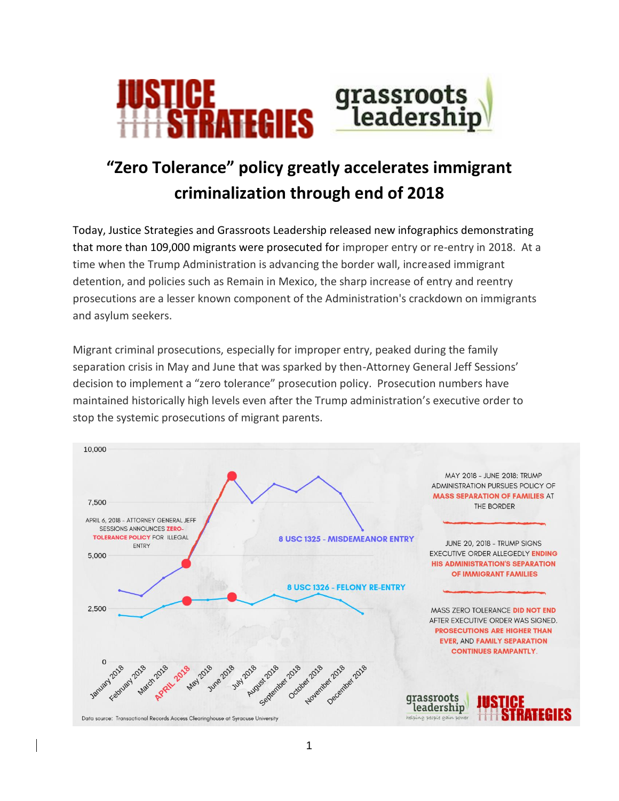

## **"Zero Tolerance" policy greatly accelerates immigrant criminalization through end of 2018**

Today, Justice Strategies and Grassroots Leadership released new infographics demonstrating that more than 109,000 migrants were prosecuted for improper entry or re-entry in 2018. At a time when the Trump Administration is advancing the border wall, increased immigrant detention, and policies such as Remain in Mexico, the sharp increase of entry and reentry prosecutions are a lesser known component of the Administration's crackdown on immigrants and asylum seekers.

Migrant criminal prosecutions, especially for improper entry, peaked during the family separation crisis in May and June that was sparked by then-Attorney General Jeff Sessions' decision to implement a "zero tolerance" prosecution policy. Prosecution numbers have maintained historically high levels even after the Trump administration's executive order to stop the systemic prosecutions of migrant parents.

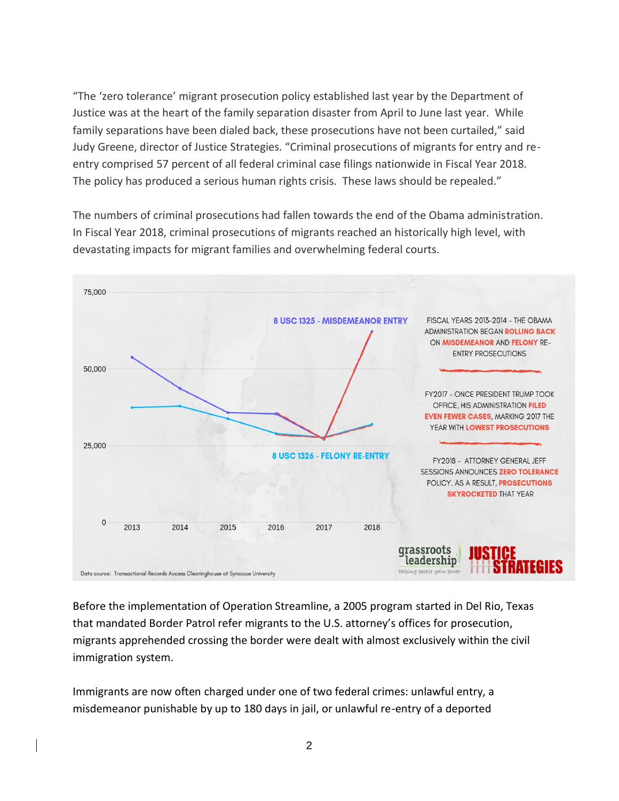"The 'zero tolerance' migrant prosecution policy established last year by the Department of Justice was at the heart of the family separation disaster from April to June last year. While family separations have been dialed back, these prosecutions have not been curtailed," said Judy Greene, director of Justice Strategies. "Criminal prosecutions of migrants for entry and reentry comprised 57 percent of all federal criminal case filings nationwide in Fiscal Year 2018. The policy has produced a serious human rights crisis. These laws should be repealed."

The numbers of criminal prosecutions had fallen towards the end of the Obama administration. In Fiscal Year 2018, criminal prosecutions of migrants reached an historically high level, with devastating impacts for migrant families and overwhelming federal courts.



Before the implementation of Operation Streamline, a 2005 program started in Del Rio, Texas that mandated Border Patrol refer migrants to the U.S. attorney's offices for prosecution, migrants apprehended crossing the border were dealt with almost exclusively within the civil immigration system.

Immigrants are now often charged under one of two federal crimes: unlawful entry, a misdemeanor punishable by up to 180 days in jail, or unlawful re-entry of a deported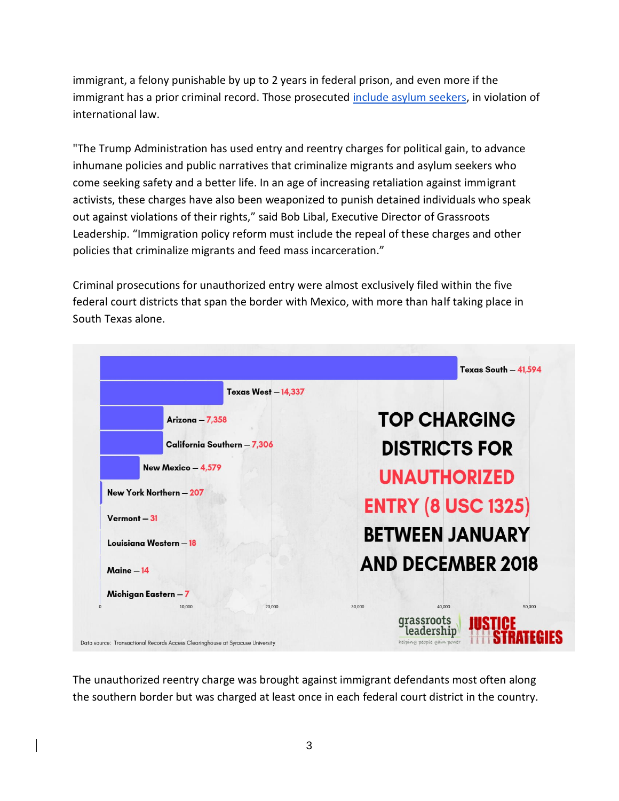immigrant, a felony punishable by up to 2 years in federal prison, and even more if the immigrant has a prior criminal record. Those prosecuted [include asylum seekers,](https://www.humanrightsfirst.org/press-release/report-documents-administration-s-shameful-criminal-prosecution-asylum-seekers-border) in violation of international law.

"The Trump Administration has used entry and reentry charges for political gain, to advance inhumane policies and public narratives that criminalize migrants and asylum seekers who come seeking safety and a better life. In an age of increasing retaliation against immigrant activists, these charges have also been weaponized to punish detained individuals who speak out against violations of their rights," said Bob Libal, Executive Director of Grassroots Leadership. "Immigration policy reform must include the repeal of these charges and other policies that criminalize migrants and feed mass incarceration."

Criminal prosecutions for unauthorized entry were almost exclusively filed within the five federal court districts that span the border with Mexico, with more than half taking place in South Texas alone.

|                             | Texas South - 41,594                     |
|-----------------------------|------------------------------------------|
| <b>Texas West - 14,337</b>  |                                          |
| Arizona - 7,358             | <b>TOP CHARGING</b>                      |
| California Southern - 7,306 | <b>DISTRICTS FOR</b>                     |
| New Mexico - 4,579          | <b>UNAUTHORIZED</b>                      |
| New York Northern - 207     | <b>ENTRY (8 USC 1325)</b>                |
| $Vermont - 31$              |                                          |
| Louisiana Western - 18      | <b>BETWEEN JANUARY</b>                   |
| Maine - 14                  | <b>AND DECEMBER 2018</b>                 |
| Michigan Eastern - 7        |                                          |
| 10,000<br>20,000            | 40,000<br>50,000<br>30,000<br>grassroots |

The unauthorized reentry charge was brought against immigrant defendants most often along the southern border but was charged at least once in each federal court district in the country.